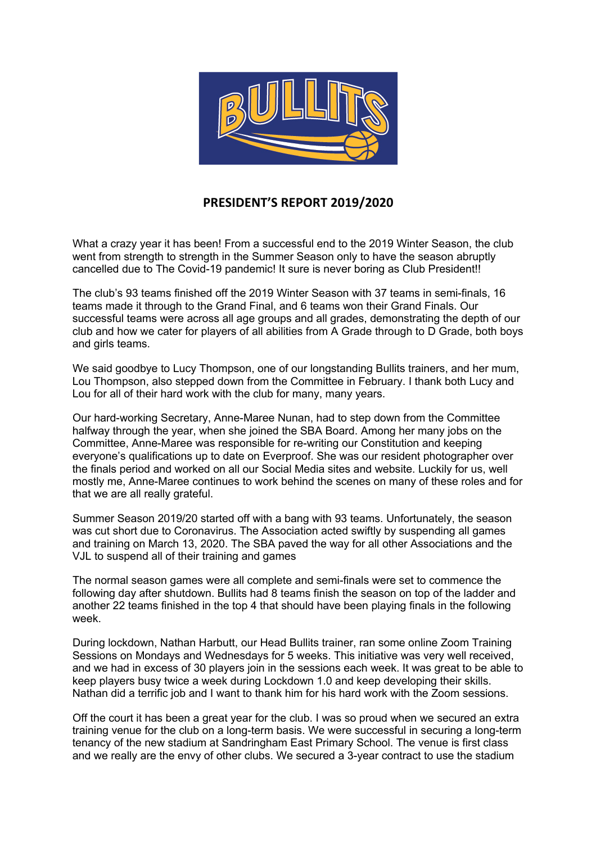

## **PRESIDENT'S REPORT 2019/2020**

What a crazy year it has been! From a successful end to the 2019 Winter Season, the club went from strength to strength in the Summer Season only to have the season abruptly cancelled due to The Covid-19 pandemic! It sure is never boring as Club President!!

The club's 93 teams finished off the 2019 Winter Season with 37 teams in semi-finals, 16 teams made it through to the Grand Final, and 6 teams won their Grand Finals. Our successful teams were across all age groups and all grades, demonstrating the depth of our club and how we cater for players of all abilities from A Grade through to D Grade, both boys and girls teams.

We said goodbye to Lucy Thompson, one of our longstanding Bullits trainers, and her mum, Lou Thompson, also stepped down from the Committee in February. I thank both Lucy and Lou for all of their hard work with the club for many, many years.

Our hard-working Secretary, Anne-Maree Nunan, had to step down from the Committee halfway through the year, when she joined the SBA Board. Among her many jobs on the Committee, Anne-Maree was responsible for re-writing our Constitution and keeping everyone's qualifications up to date on Everproof. She was our resident photographer over the finals period and worked on all our Social Media sites and website. Luckily for us, well mostly me, Anne-Maree continues to work behind the scenes on many of these roles and for that we are all really grateful.

Summer Season 2019/20 started off with a bang with 93 teams. Unfortunately, the season was cut short due to Coronavirus. The Association acted swiftly by suspending all games and training on March 13, 2020. The SBA paved the way for all other Associations and the VJL to suspend all of their training and games

The normal season games were all complete and semi-finals were set to commence the following day after shutdown. Bullits had 8 teams finish the season on top of the ladder and another 22 teams finished in the top 4 that should have been playing finals in the following week.

During lockdown, Nathan Harbutt, our Head Bullits trainer, ran some online Zoom Training Sessions on Mondays and Wednesdays for 5 weeks. This initiative was very well received, and we had in excess of 30 players join in the sessions each week. It was great to be able to keep players busy twice a week during Lockdown 1.0 and keep developing their skills. Nathan did a terrific job and I want to thank him for his hard work with the Zoom sessions.

Off the court it has been a great year for the club. I was so proud when we secured an extra training venue for the club on a long-term basis. We were successful in securing a long-term tenancy of the new stadium at Sandringham East Primary School. The venue is first class and we really are the envy of other clubs. We secured a 3-year contract to use the stadium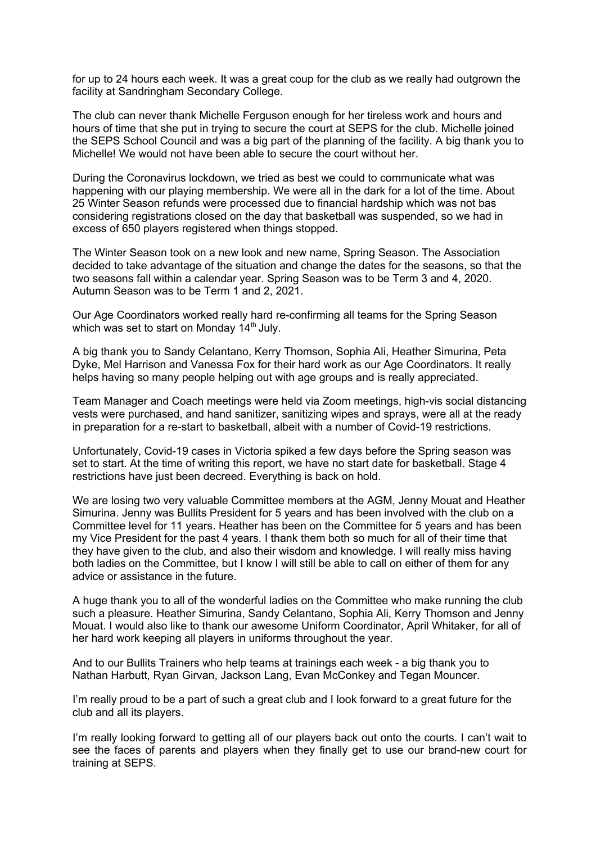for up to 24 hours each week. It was a great coup for the club as we really had outgrown the facility at Sandringham Secondary College.

The club can never thank Michelle Ferguson enough for her tireless work and hours and hours of time that she put in trying to secure the court at SEPS for the club. Michelle joined the SEPS School Council and was a big part of the planning of the facility. A big thank you to Michelle! We would not have been able to secure the court without her.

During the Coronavirus lockdown, we tried as best we could to communicate what was happening with our playing membership. We were all in the dark for a lot of the time. About 25 Winter Season refunds were processed due to financial hardship which was not bas considering registrations closed on the day that basketball was suspended, so we had in excess of 650 players registered when things stopped.

The Winter Season took on a new look and new name, Spring Season. The Association decided to take advantage of the situation and change the dates for the seasons, so that the two seasons fall within a calendar year. Spring Season was to be Term 3 and 4, 2020. Autumn Season was to be Term 1 and 2, 2021.

Our Age Coordinators worked really hard re-confirming all teams for the Spring Season which was set to start on Monday  $14<sup>th</sup>$  July.

A big thank you to Sandy Celantano, Kerry Thomson, Sophia Ali, Heather Simurina, Peta Dyke, Mel Harrison and Vanessa Fox for their hard work as our Age Coordinators. It really helps having so many people helping out with age groups and is really appreciated.

Team Manager and Coach meetings were held via Zoom meetings, high-vis social distancing vests were purchased, and hand sanitizer, sanitizing wipes and sprays, were all at the ready in preparation for a re-start to basketball, albeit with a number of Covid-19 restrictions.

Unfortunately, Covid-19 cases in Victoria spiked a few days before the Spring season was set to start. At the time of writing this report, we have no start date for basketball. Stage 4 restrictions have just been decreed. Everything is back on hold.

We are losing two very valuable Committee members at the AGM, Jenny Mouat and Heather Simurina. Jenny was Bullits President for 5 years and has been involved with the club on a Committee level for 11 years. Heather has been on the Committee for 5 years and has been my Vice President for the past 4 years. I thank them both so much for all of their time that they have given to the club, and also their wisdom and knowledge. I will really miss having both ladies on the Committee, but I know I will still be able to call on either of them for any advice or assistance in the future.

A huge thank you to all of the wonderful ladies on the Committee who make running the club such a pleasure. Heather Simurina, Sandy Celantano, Sophia Ali, Kerry Thomson and Jenny Mouat. I would also like to thank our awesome Uniform Coordinator, April Whitaker, for all of her hard work keeping all players in uniforms throughout the year.

And to our Bullits Trainers who help teams at trainings each week - a big thank you to Nathan Harbutt, Ryan Girvan, Jackson Lang, Evan McConkey and Tegan Mouncer.

I'm really proud to be a part of such a great club and I look forward to a great future for the club and all its players.

I'm really looking forward to getting all of our players back out onto the courts. I can't wait to see the faces of parents and players when they finally get to use our brand-new court for training at SEPS.